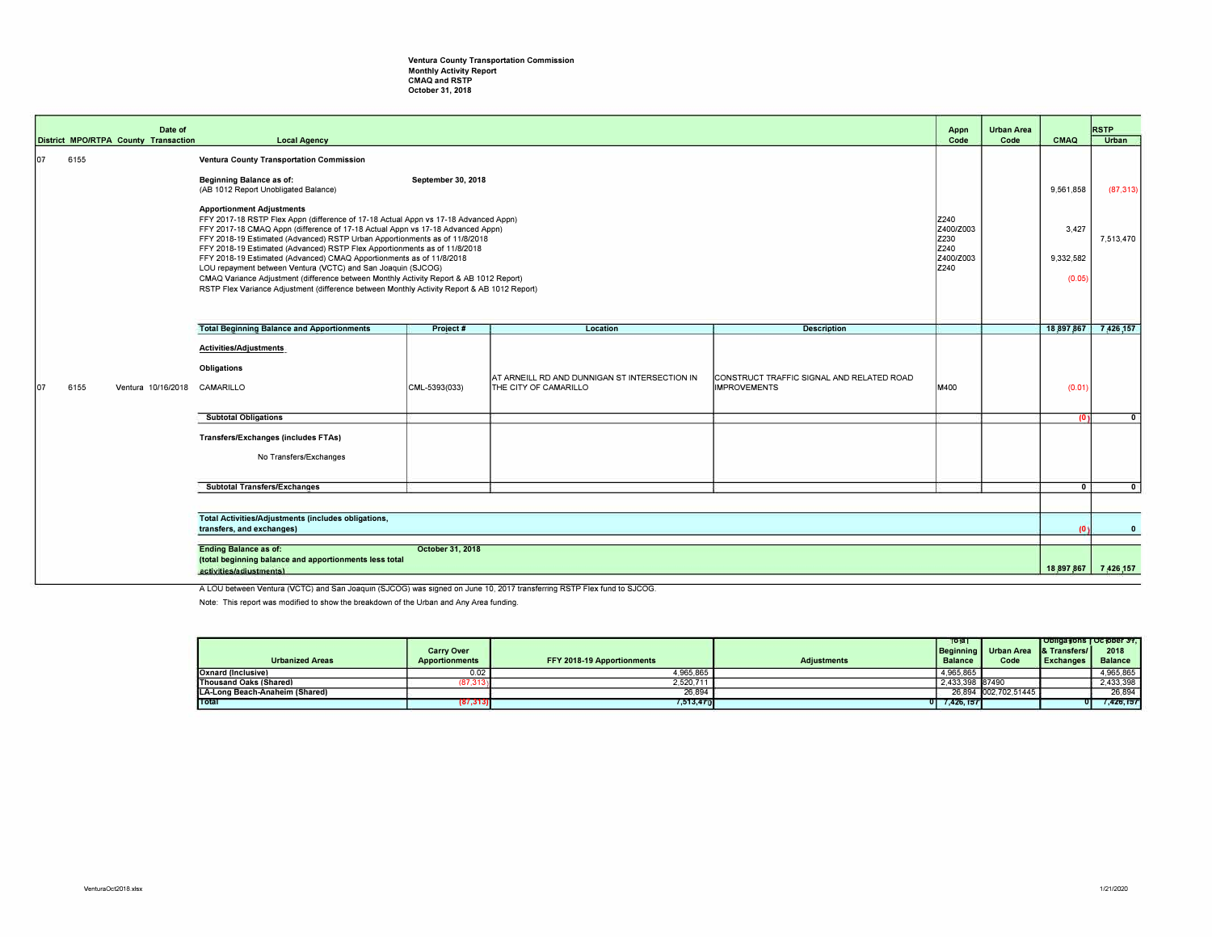## Ventura County Transportation Commission Monthly Activity Report CMAQ and RSTP October 31, 2018

|                                                                                                                                       |             | Date of<br>District MPO/RTPA County Transaction                                  |                                                                                                                                                                                                                                                                                                                                                                                                                                                                                                                                                                                                                                                                                                                                                                                                                                                                    |               |                                                                        |                                                                  | Appn<br>Code                                           | <b>Urban Area</b><br>Code | CMAQ                                      | <b>RSTP</b><br>Urban   |
|---------------------------------------------------------------------------------------------------------------------------------------|-------------|----------------------------------------------------------------------------------|--------------------------------------------------------------------------------------------------------------------------------------------------------------------------------------------------------------------------------------------------------------------------------------------------------------------------------------------------------------------------------------------------------------------------------------------------------------------------------------------------------------------------------------------------------------------------------------------------------------------------------------------------------------------------------------------------------------------------------------------------------------------------------------------------------------------------------------------------------------------|---------------|------------------------------------------------------------------------|------------------------------------------------------------------|--------------------------------------------------------|---------------------------|-------------------------------------------|------------------------|
|                                                                                                                                       | lo7<br>6155 |                                                                                  | <b>Local Agency</b><br>Ventura County Transportation Commission<br>Beginning Balance as of:<br>September 30, 2018<br>(AB 1012 Report Unobligated Balance)<br><b>Apportionment Adjustments</b><br>FFY 2017-18 RSTP Flex Appn (difference of 17-18 Actual Appn vs 17-18 Advanced Appn)<br>FFY 2017-18 CMAQ Appn (difference of 17-18 Actual Appn vs 17-18 Advanced Appn)<br>FFY 2018-19 Estimated (Advanced) RSTP Urban Apportionments as of 11/8/2018<br>FFY 2018-19 Estimated (Advanced) RSTP Flex Apportionments as of 11/8/2018<br>FFY 2018-19 Estimated (Advanced) CMAQ Apportionments as of 11/8/2018<br>LOU repayment between Ventura (VCTC) and San Joaquin (SJCOG)<br>CMAQ Variance Adjustment (difference between Monthly Activity Report & AB 1012 Report)<br>RSTP Flex Variance Adjustment (difference between Monthly Activity Report & AB 1012 Report) |               |                                                                        |                                                                  | Z240<br>Z400/Z003<br>Z230<br>Z240<br>Z400/Z003<br>Z240 |                           | 9,561,858<br>3,427<br>9,332,582<br>(0.05) | (87, 313)<br>7,513,470 |
|                                                                                                                                       |             |                                                                                  | <b>Total Beginning Balance and Apportionments</b>                                                                                                                                                                                                                                                                                                                                                                                                                                                                                                                                                                                                                                                                                                                                                                                                                  | Project #     | Location                                                               | <b>Description</b>                                               |                                                        |                           | 18.897.867 7.426.157                      |                        |
|                                                                                                                                       | 6155<br>107 | Ventura 10/16/2018                                                               | <b>Activities/Adjustments</b><br>Obligations<br>CAMARILLO                                                                                                                                                                                                                                                                                                                                                                                                                                                                                                                                                                                                                                                                                                                                                                                                          | CML-5393(033) | AT ARNEILL RD AND DUNNIGAN ST INTERSECTION IN<br>THE CITY OF CAMARILLO | CONSTRUCT TRAFFIC SIGNAL AND RELATED ROAD<br><b>IMPROVEMENTS</b> | M400                                                   |                           | (0.01)                                    |                        |
|                                                                                                                                       |             |                                                                                  | <b>Subtotal Obligations</b>                                                                                                                                                                                                                                                                                                                                                                                                                                                                                                                                                                                                                                                                                                                                                                                                                                        |               |                                                                        |                                                                  |                                                        |                           | 101                                       | $\mathbf{0}$           |
|                                                                                                                                       |             |                                                                                  | Transfers/Exchanges (includes FTAs)<br>No Transfers/Exchanges                                                                                                                                                                                                                                                                                                                                                                                                                                                                                                                                                                                                                                                                                                                                                                                                      |               |                                                                        |                                                                  |                                                        |                           |                                           |                        |
|                                                                                                                                       |             |                                                                                  | <b>Subtotal Transfers/Exchanges</b>                                                                                                                                                                                                                                                                                                                                                                                                                                                                                                                                                                                                                                                                                                                                                                                                                                |               |                                                                        |                                                                  |                                                        |                           | $\Omega$                                  | $\mathbf{0}$           |
|                                                                                                                                       |             | Total Activities/Adjustments (includes obligations,<br>transfers, and exchanges) |                                                                                                                                                                                                                                                                                                                                                                                                                                                                                                                                                                                                                                                                                                                                                                                                                                                                    |               |                                                                        |                                                                  |                                                        |                           | 10 <sub>1</sub>                           | $\mathbf{0}$           |
|                                                                                                                                       |             |                                                                                  |                                                                                                                                                                                                                                                                                                                                                                                                                                                                                                                                                                                                                                                                                                                                                                                                                                                                    |               |                                                                        |                                                                  |                                                        |                           |                                           |                        |
| <b>Ending Balance as of:</b><br>October 31, 2018<br>(total beginning balance and apportionments less total<br>activities/adjustments) |             |                                                                                  |                                                                                                                                                                                                                                                                                                                                                                                                                                                                                                                                                                                                                                                                                                                                                                                                                                                                    |               |                                                                        |                                                                  |                                                        |                           | 18,897,867 7,426,157                      |                        |

A LOU between Ventura (VCTC) and San Joaquin (SJCOG) was signed on June 10, 2017 transferring RSTP Flex fund to SJCOG.

Note: This report was modified to show the breakdown of the Urban and Any Area funding.

|                                 | <b>Carry Over</b>     |                            |                    | Total<br>Beginning | Urban Area 1& Transfers/1 | <b>TObligations   October 31.</b> | 2018           |
|---------------------------------|-----------------------|----------------------------|--------------------|--------------------|---------------------------|-----------------------------------|----------------|
| <b>Urbanized Areas</b>          | <b>Apportionments</b> | FFY 2018-19 Apportionments | <b>Adiustments</b> | <b>Balance</b>     | Code                      | <b>L</b> Exchanges L              | <b>Balance</b> |
| <b>Coxnard (Inclusive)</b>      | 0.02                  | 4.965.865                  |                    | 4,965,865          |                           |                                   | 4,965,865      |
| Thousand Oaks (Shared)          | (87, 313)             | 2,520,711                  |                    | 2,433,398 87490    |                           |                                   | 2,433,398      |
| ILA-Long Beach-Anaheim (Shared) |                       | 26,894                     |                    |                    | 26,894 002,702,51445      |                                   | 26.894         |
| <b>Total</b>                    | (87, 313)             | 7,513,470                  |                    | 7,426,157<br>oг    |                           |                                   | 7,426,157      |
|                                 |                       |                            |                    |                    |                           |                                   |                |